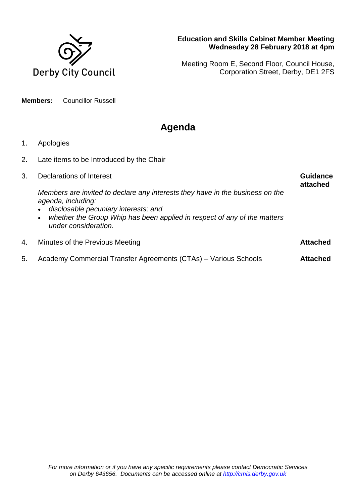

## **Education and Skills Cabinet Member Meeting Wednesday 28 February 2018 at 4pm**

Meeting Room E, Second Floor, Council House, Corporation Street, Derby, DE1 2FS

**Members:** Councillor Russell

## **Agenda**

- 1. Apologies
- 2. Late items to be Introduced by the Chair

| 3. | Declarations of Interest                                                                                                                                                                                                                                     | <b>Guidance</b><br>attached |
|----|--------------------------------------------------------------------------------------------------------------------------------------------------------------------------------------------------------------------------------------------------------------|-----------------------------|
|    | Members are invited to declare any interests they have in the business on the<br>agenda, including:<br>disclosable pecuniary interests; and<br>whether the Group Whip has been applied in respect of any of the matters<br>$\bullet$<br>under consideration. |                             |
| 4. | Minutes of the Previous Meeting                                                                                                                                                                                                                              | <b>Attached</b>             |
| 5. | Academy Commercial Transfer Agreements (CTAs) – Various Schools                                                                                                                                                                                              | <b>Attached</b>             |